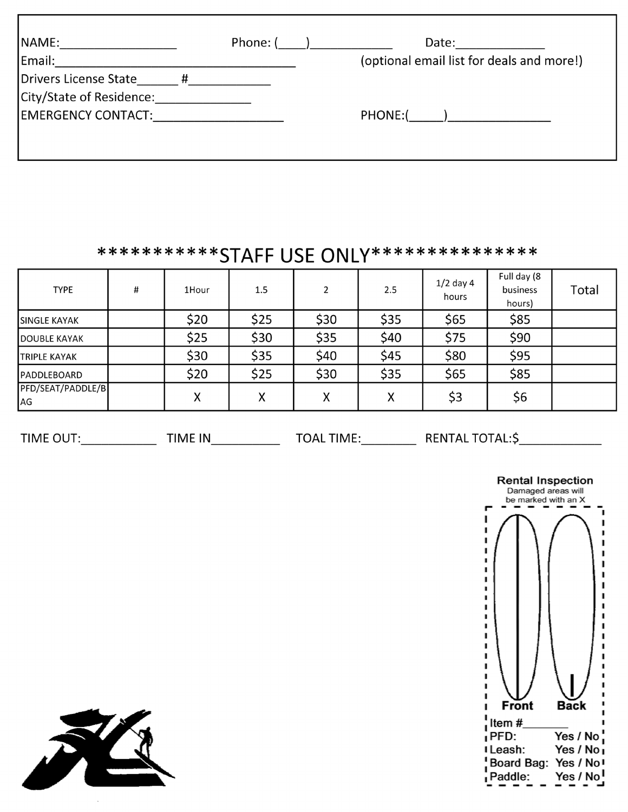| NAME:                                             | Phone: ( | Date: the contract of the contract of the contract of the contract of the contract of the contract of the contract of the contract of the contract of the contract of the contract of the contract of the contract of the cont |
|---------------------------------------------------|----------|--------------------------------------------------------------------------------------------------------------------------------------------------------------------------------------------------------------------------------|
| Email:                                            |          | (optional email list for deals and more!)                                                                                                                                                                                      |
|                                                   |          |                                                                                                                                                                                                                                |
| City/State of Residence: City/State of Residence: |          |                                                                                                                                                                                                                                |
|                                                   |          | PHONE:( )                                                                                                                                                                                                                      |
|                                                   |          |                                                                                                                                                                                                                                |
|                                                   |          |                                                                                                                                                                                                                                |

# \*\*\*\*\*\*\*\*\*\*\*\*STAFF USE ONLY\*\*\*\*\*\*\*\*\*\*\*\*\*\*\*\*

| <b>TYPE</b>                    | # | 1Hour | 1.5  | 2    | 2.5  | $1/2$ day 4<br>hours | Full day (8<br>business<br>hours) | Total |
|--------------------------------|---|-------|------|------|------|----------------------|-----------------------------------|-------|
| <b>ISINGLE KAYAK</b>           |   | \$20  | \$25 | \$30 | \$35 | \$65                 | \$85                              |       |
| <b>IDOUBLE KAYAK</b>           |   | \$25  | \$30 | \$35 | \$40 | \$75                 | \$90                              |       |
| <b>TRIPLE KAYAK</b>            |   | \$30  | \$35 | \$40 | \$45 | \$80                 | \$95                              |       |
| <b>PADDLEBOARD</b>             |   | \$20  | \$25 | \$30 | \$35 | \$65                 | \$85                              |       |
| PFD/SEAT/PADDLE/B<br><b>AG</b> |   | X     | X    | Χ    | Χ    | \$3                  | \$6                               |       |

TIME OUT: \_\_\_\_\_\_\_\_\_\_\_\_\_\_TIME IN\_\_\_\_\_\_\_\_\_\_\_\_\_\_\_TOAL TIME:\_\_\_\_\_\_\_\_\_\_\_\_\_RENTAL TOTAL:\$\_\_\_\_\_\_\_\_\_\_\_\_\_\_\_\_